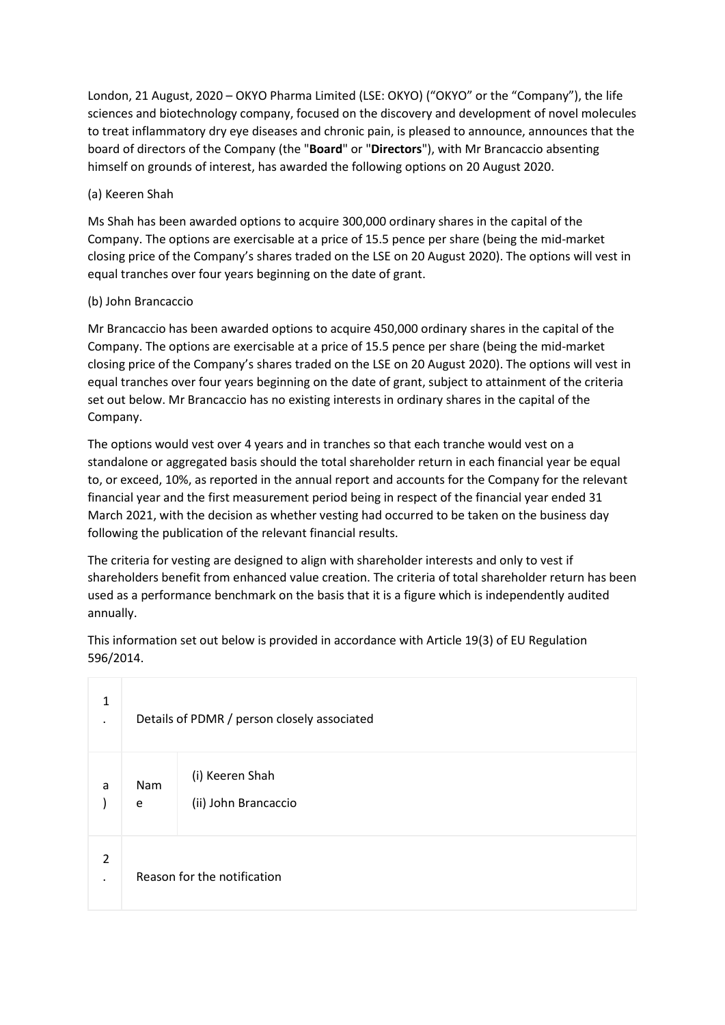London, 21 August, 2020 – OKYO Pharma Limited (LSE: OKYO) ("OKYO" or the "Company"), the life sciences and biotechnology company, focused on the discovery and development of novel molecules to treat inflammatory dry eye diseases and chronic pain, is pleased to announce, announces that the board of directors of the Company (the "**Board**" or "**Directors**"), with Mr Brancaccio absenting himself on grounds of interest, has awarded the following options on 20 August 2020.

## (a) Keeren Shah

Ms Shah has been awarded options to acquire 300,000 ordinary shares in the capital of the Company. The options are exercisable at a price of 15.5 pence per share (being the mid-market closing price of the Company's shares traded on the LSE on 20 August 2020). The options will vest in equal tranches over four years beginning on the date of grant.

## (b) John Brancaccio

Mr Brancaccio has been awarded options to acquire 450,000 ordinary shares in the capital of the Company. The options are exercisable at a price of 15.5 pence per share (being the mid-market closing price of the Company's shares traded on the LSE on 20 August 2020). The options will vest in equal tranches over four years beginning on the date of grant, subject to attainment of the criteria set out below. Mr Brancaccio has no existing interests in ordinary shares in the capital of the Company.

The options would vest over 4 years and in tranches so that each tranche would vest on a standalone or aggregated basis should the total shareholder return in each financial year be equal to, or exceed, 10%, as reported in the annual report and accounts for the Company for the relevant financial year and the first measurement period being in respect of the financial year ended 31 March 2021, with the decision as whether vesting had occurred to be taken on the business day following the publication of the relevant financial results.

The criteria for vesting are designed to align with shareholder interests and only to vest if shareholders benefit from enhanced value creation. The criteria of total shareholder return has been used as a performance benchmark on the basis that it is a figure which is independently audited annually.

This information set out below is provided in accordance with Article 19(3) of EU Regulation 596/2014.

| 1<br>٠ | Details of PDMR / person closely associated |                                         |  |
|--------|---------------------------------------------|-----------------------------------------|--|
| a      | Nam<br>e                                    | (i) Keeren Shah<br>(ii) John Brancaccio |  |
| 2      | Reason for the notification                 |                                         |  |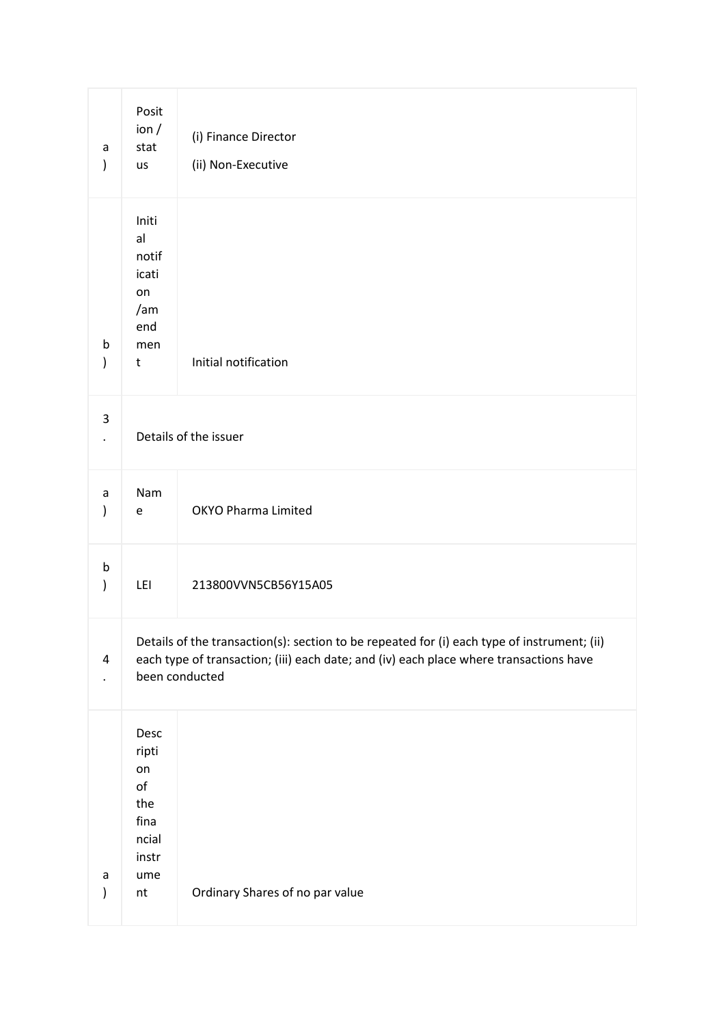| a<br>$\mathcal{C}$ | Posit<br>ion/<br>stat<br>us                                                                                                                                                                             | (i) Finance Director<br>(ii) Non-Executive |  |
|--------------------|---------------------------------------------------------------------------------------------------------------------------------------------------------------------------------------------------------|--------------------------------------------|--|
| b<br>$\mathcal{E}$ | Initi<br>al<br>notif<br>icati<br>on<br>/am<br>end<br>men<br>t                                                                                                                                           | Initial notification                       |  |
| 3                  | Details of the issuer                                                                                                                                                                                   |                                            |  |
| a<br>)             | Nam<br>e                                                                                                                                                                                                | <b>OKYO Pharma Limited</b>                 |  |
| b<br>)             | LEI                                                                                                                                                                                                     | 213800VVN5CB56Y15A05                       |  |
| 4                  | Details of the transaction(s): section to be repeated for (i) each type of instrument; (ii)<br>each type of transaction; (iii) each date; and (iv) each place where transactions have<br>been conducted |                                            |  |
| a<br>$\mathcal{E}$ | Desc<br>ripti<br>on<br>of<br>the<br>fina<br>ncial<br>instr<br>ume<br>$\sf{nt}$                                                                                                                          | Ordinary Shares of no par value            |  |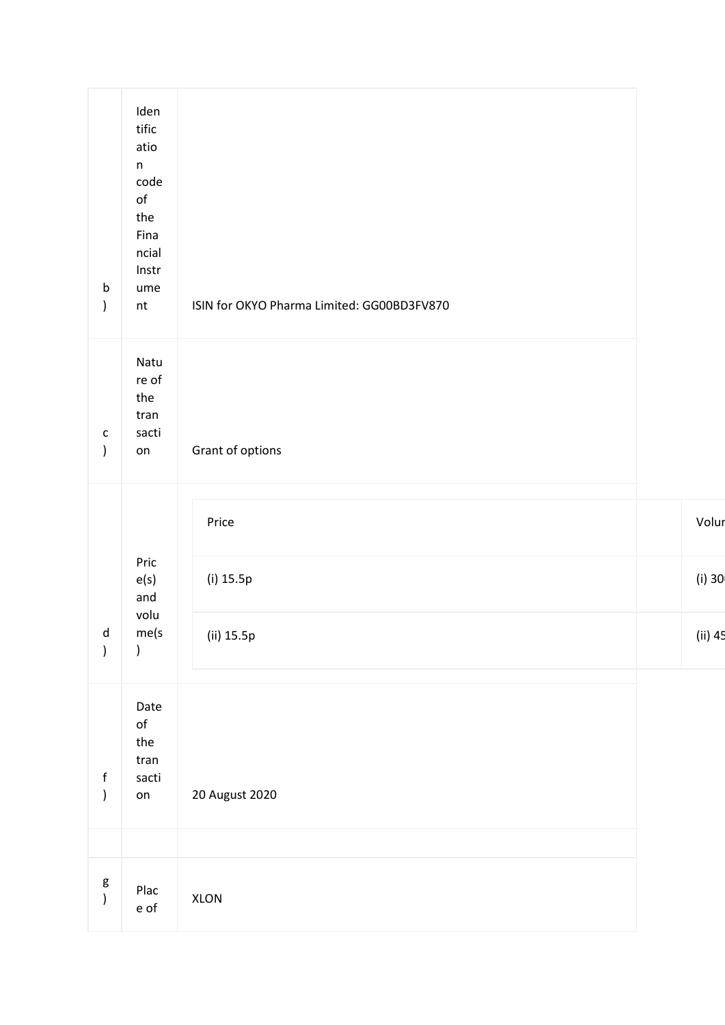| $\mathsf b$<br>$\mathcal{C}$  | Iden<br>tific<br>atio<br>$\mathsf n$<br>code<br>$\mathsf{of}$<br>the<br>Fina<br>ncial<br>Instr<br>ume<br>$\sf{nt}$ | ISIN for OKYO Pharma Limited: GG00BD3FV870 |          |
|-------------------------------|--------------------------------------------------------------------------------------------------------------------|--------------------------------------------|----------|
| $\mathsf{C}$<br>$\mathcal{C}$ | Natu<br>re of<br>the<br>tran<br>sacti<br>on                                                                        | Grant of options                           |          |
|                               |                                                                                                                    | Price                                      | Volu     |
|                               | Pric<br>e(s)<br>and                                                                                                | (i) 15.5p                                  | $(i)$ 30 |
| d<br>$\big)$                  | volu<br>me(s<br>)                                                                                                  | (ii) 15.5p                                 | $(ii)$ 4 |
| $\mathsf f$<br>$\big)$        | Date<br>$\mathsf{of}$<br>the<br>tran<br>sacti<br>on                                                                | 20 August 2020                             |          |
| g<br>)                        | Plac<br>e of                                                                                                       | XLON                                       |          |
|                               |                                                                                                                    |                                            |          |